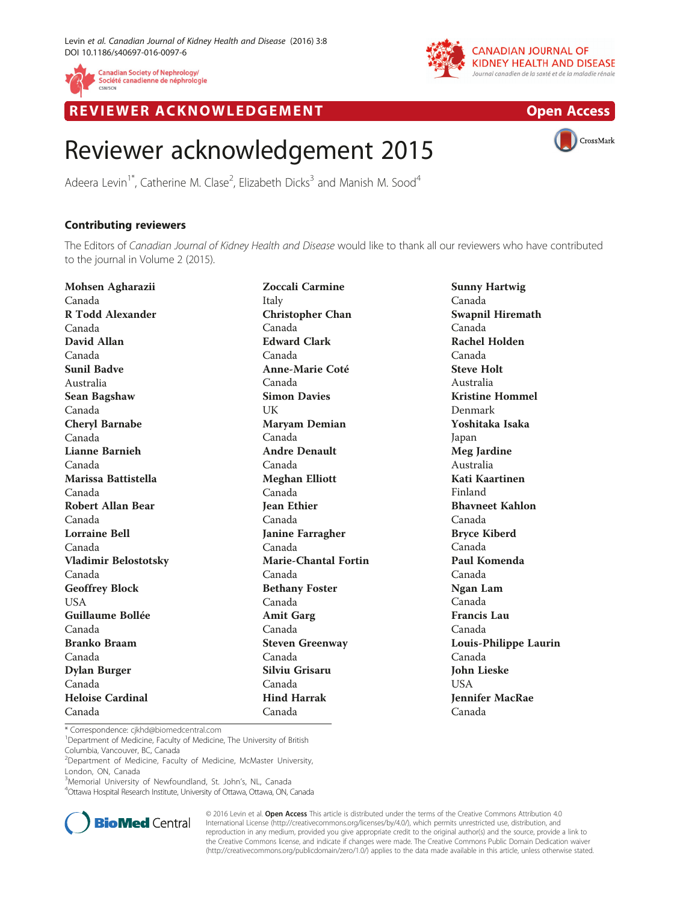



REVIEWER ACKNOWLEDGEMENT **EXAMPLE ENGINEERING** COPEN [Access](http://crossmark.crossref.org/dialog/?doi=10.1186/s40697-016-0097-6&domain=pdf)



## Reviewer acknowledgement 2015

Adeera Levin<sup>1\*</sup>, Catherine M. Clase<sup>2</sup>, Elizabeth Dicks<sup>3</sup> and Manish M. Sood<sup>4</sup>

## Contributing reviewers

The Editors of Canadian Journal of Kidney Health and Disease would like to thank all our reviewers who have contributed to the journal in Volume 2 (2015).

Mohsen Agharazii Canada R Todd Alexander Canada David Allan Canada Sunil Badve Australia Sean Bagshaw Canada Cheryl Barnabe Canada Lianne Barnieh Canada Marissa Battistella Canada Robert Allan Bear Canada Lorraine Bell Canada Vladimir Belostotsky Canada Geoffrey Block USA Guillaume Bollée Canada Branko Braam Canada Dylan Burger Canada Heloise Cardinal Canada

Zoccali Carmine Italy Christopher Chan Canada Edward Clark Canada Anne-Marie Coté Canada Simon Davies UK Maryam Demian Canada Andre Denault Canada Meghan Elliott Canada Jean Ethier Canada Janine Farragher Canada Marie-Chantal Fortin Canada Bethany Foster Canada Amit Garg Canada Steven Greenway Canada Silviu Grisaru Canada Hind Harrak Canada

Sunny Hartwig Canada Swapnil Hiremath Canada Rachel Holden Canada Steve Holt Australia Kristine Hommel Denmark Yoshitaka Isaka Japan Meg Jardine Australia Kati Kaartinen Finland Bhavneet Kahlon Canada Bryce Kiberd Canada Paul Komenda Canada Ngan Lam Canada Francis Lau Canada Louis-Philippe Laurin Canada John Lieske USA Jennifer MacRae Canada

\* Correspondence: [cjkhd@biomedcentral.com](mailto:cjkhd@biomedcentral.com) <sup>1</sup>

<sup>1</sup>Department of Medicine, Faculty of Medicine, The University of British Columbia, Vancouver, BC, Canada

<sup>2</sup>Department of Medicine, Faculty of Medicine, McMaster University, London, ON, Canada

<sup>3</sup> Memorial University of Newfoundland, St. John's, NL, Canada<br><sup>4</sup> Ottawa Hospital Pescarsh Institute University of Ottawa Ottawa ON

Ottawa Hospital Research Institute, University of Ottawa, Ottawa, ON, Canada



© 2016 Levin et al. Open Access This article is distributed under the terms of the Creative Commons Attribution 4.0 International License [\(http://creativecommons.org/licenses/by/4.0/](http://creativecommons.org/licenses/by/4.0/)), which permits unrestricted use, distribution, and reproduction in any medium, provided you give appropriate credit to the original author(s) and the source, provide a link to the Creative Commons license, and indicate if changes were made. The Creative Commons Public Domain Dedication waiver [\(http://creativecommons.org/publicdomain/zero/1.0/](http://creativecommons.org/publicdomain/zero/1.0/)) applies to the data made available in this article, unless otherwise stated.